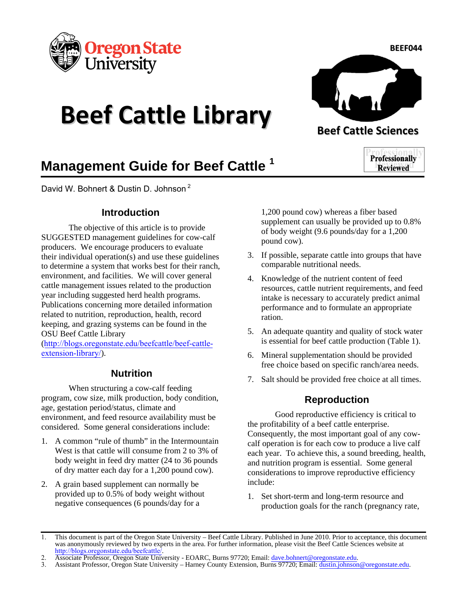

# **Beef Cattle Library Beef** Cattle Sciences



## **Management Guide for Beef Cattle <sup>1</sup>**

David W. Bohnert & Dustin D. Johnson<sup>2</sup>

#### **Introduction**

The objective of this article is to provide SUGGESTED management guidelines for cow-calf producers. We encourage producers to evaluate their individual operation(s) and use these guidelines to determine a system that works best for their ranch, environment, and facilities. We will cover general cattle management issues related to the production year including suggested herd health programs. Publications concerning more detailed information related to nutrition, reproduction, health, record keeping, and grazing systems can be found in the OSU Beef Cattle Library

([http://blogs.oregonstate.edu/beefcattle/beef-cattle](http://blogs.oregonstate.edu/beefcattle/beef-cattle-extension-library/)extension-library/).

### **Nutrition**

When structuring a cow-calf feeding program, cow size, milk production, body condition, age, gestation period/status, climate and environment, and feed resource availability must be considered. Some general considerations include:

- 1. A common "rule of thumb" in the Intermountain West is that cattle will consume from 2 to 3% of body weight in feed dry matter (24 to 36 pounds of dry matter each day for a 1,200 pound cow).
- 2. A grain based supplement can normally be provided up to 0.5% of body weight without negative consequences (6 pounds/day for a

1,200 pound cow) whereas a fiber based supplement can usually be provided up to 0.8% of body weight (9.6 pounds/day for a 1,200 pound cow).

- 3. If possible, separate cattle into groups that have comparable nutritional needs.
- 4. Knowledge of the nutrient content of feed resources, cattle nutrient requirements, and feed intake is necessary to accurately predict animal performance and to formulate an appropriate ration.
- 5. An adequate quantity and quality of stock water is essential for beef cattle production (Table 1).
- 6. Mineral supplementation should be provided free choice based on specific ranch/area needs.
- 7. Salt should be provided free choice at all times.

## **Reproduction**

Good reproductive efficiency is critical to the profitability of a beef cattle enterprise. Consequently, the most important goal of any cowcalf operation is for each cow to produce a live calf each year. To achieve this, a sound breeding, health, and nutrition program is essential. Some general considerations to improve reproductive efficiency include:

1. Set short-term and long-term resource and production goals for the ranch (pregnancy rate,

**Professionally Reviewed** 

<sup>1.</sup> This document is part of the Oregon State University – Beef Cattle Library. Published in June 2010. Prior to acceptance, this document was anonymously reviewed by two experts in the area. For further information, please visit the Beef Cattle Sciences website at <http://blogs.oregonstate.edu/beefcattle/>.

<sup>2.</sup> Associate Professor, Oregon State University - EOARC, Burns 97720; Email: *dave.bohnert@oregonstate.edu.*<br>3. Assistant Professor, Oregon State University – Harney County Extension, Burns 97720; Email: dustin.johnson

<sup>3.</sup> Assistant Professor, Oregon State University – Harney County Extension, Burns 97720; Email: dustin.johnson@oregonstate.edu.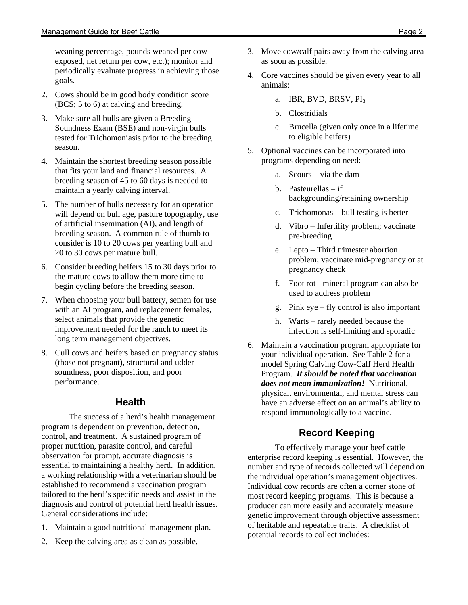weaning percentage, pounds weaned per cow exposed, net return per cow, etc.); monitor and periodically evaluate progress in achieving those goals.

- 2. Cows should be in good body condition score (BCS; 5 to 6) at calving and breeding.
- 3. Make sure all bulls are given a Breeding Soundness Exam (BSE) and non-virgin bulls tested for Trichomoniasis prior to the breeding season.
- 4. Maintain the shortest breeding season possible that fits your land and financial resources. A breeding season of 45 to 60 days is needed to maintain a yearly calving interval.
- 5. The number of bulls necessary for an operation will depend on bull age, pasture topography, use of artificial insemination (AI), and length of breeding season. A common rule of thumb to consider is 10 to 20 cows per yearling bull and 20 to 30 cows per mature bull.
- 6. Consider breeding heifers 15 to 30 days prior to the mature cows to allow them more time to begin cycling before the breeding season.
- 7. When choosing your bull battery, semen for use with an AI program, and replacement females, select animals that provide the genetic improvement needed for the ranch to meet its long term management objectives.
- 8. Cull cows and heifers based on pregnancy status (those not pregnant), structural and udder soundness, poor disposition, and poor performance.

## **Health**

The success of a herd's health management program is dependent on prevention, detection, control, and treatment. A sustained program of proper nutrition, parasite control, and careful observation for prompt, accurate diagnosis is essential to maintaining a healthy herd. In addition, a working relationship with a veterinarian should be established to recommend a vaccination program tailored to the herd's specific needs and assist in the diagnosis and control of potential herd health issues. General considerations include:

- 1. Maintain a good nutritional management plan.
- 2. Keep the calving area as clean as possible.
- 3. Move cow/calf pairs away from the calving area as soon as possible.
- 4. Core vaccines should be given every year to all animals:
	- a. IBR, BVD, BRSV, PI<sub>3</sub>
	- b. Clostridials
	- c. Brucella (given only once in a lifetime to eligible heifers)
- 5. Optional vaccines can be incorporated into programs depending on need:
	- a. Scours via the dam
	- b. Pasteurellas if backgrounding/retaining ownership
	- c. Trichomonas bull testing is better
	- d. Vibro Infertility problem; vaccinate pre-breeding
	- e. Lepto Third trimester abortion problem; vaccinate mid-pregnancy or at pregnancy check
	- f. Foot rot mineral program can also be used to address problem
	- g. Pink eye fly control is also important
	- h. Warts rarely needed because the infection is self-limiting and sporadic
- 6. Maintain a vaccination program appropriate for your individual operation. See Table 2 for a model Spring Calving Cow-Calf Herd Health Program. *It should be noted that vaccination does not mean immunization!* Nutritional, physical, environmental, and mental stress can have an adverse effect on an animal's ability to respond immunologically to a vaccine.

## **Record Keeping**

To effectively manage your beef cattle enterprise record keeping is essential. However, the number and type of records collected will depend on the individual operation's management objectives. Individual cow records are often a corner stone of most record keeping programs. This is because a producer can more easily and accurately measure genetic improvement through objective assessment of heritable and repeatable traits. A checklist of potential records to collect includes: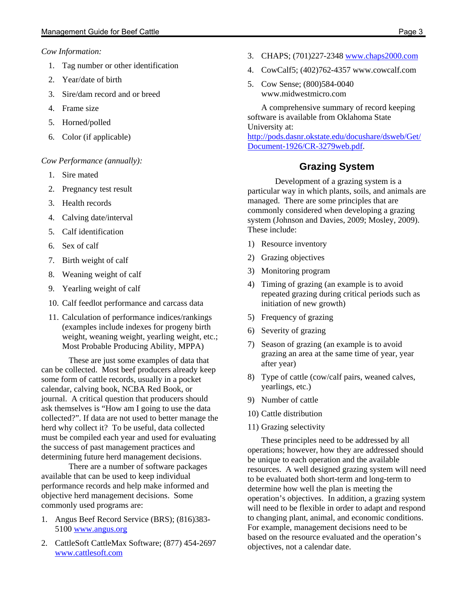#### *Cow Information:*

- 1. Tag number or other identification
- 2. Year/date of birth
- 3. Sire/dam record and or breed
- 4. Frame size
- 5. Horned/polled
- 6. Color (if applicable)

#### *Cow Performance (annually):*

- 1. Sire mated
- 2. Pregnancy test result
- 3. Health records
- 4. Calving date/interval
- 5. Calf identification
- 6. Sex of calf
- 7. Birth weight of calf
- 8. Weaning weight of calf
- 9. Yearling weight of calf
- 10. Calf feedlot performance and carcass data
- 11. Calculation of performance indices/rankings (examples include indexes for progeny birth weight, weaning weight, yearling weight, etc.; Most Probable Producing Ability, MPPA)

These are just some examples of data that can be collected. Most beef producers already keep some form of cattle records, usually in a pocket calendar, calving book, NCBA Red Book, or journal. A critical question that producers should ask themselves is "How am I going to use the data collected?". If data are not used to better manage the herd why collect it? To be useful, data collected must be compiled each year and used for evaluating the success of past management practices and determining future herd management decisions.

There are a number of software packages available that can be used to keep individual performance records and help make informed and objective herd management decisions. Some commonly used programs are:

- 1. Angus Beef Record Service (BRS); (816)383- 5100 www.angus.org
- 2. CattleSoft CattleMax Software; (877) 454-2697 www.cattlesoft.com
- 3. CHAPS; (701)227-2348 www.chaps2000.com
- 4. CowCalf5; (402)762-4357 www.cowcalf.com
- 5. Cow Sense; (800)584-0040 www.midwestmicro.com

A comprehensive summary of record keeping software is available from Oklahoma State University at: http://pods.dasnr.okstate.edu/docushare/dsweb/Get/ Document-1926/CR-3279web.pdf.

#### **Grazing System**

Development of a grazing system is a particular way in which plants, soils, and animals are managed. There are some principles that are commonly considered when developing a grazing system (Johnson and Davies, 2009; Mosley, 2009). These include:

- 1) Resource inventory
- 2) Grazing objectives
- 3) Monitoring program
- 4) Timing of grazing (an example is to avoid repeated grazing during critical periods such as initiation of new growth)
- 5) Frequency of grazing
- 6) Severity of grazing
- 7) Season of grazing (an example is to avoid grazing an area at the same time of year, year after year)
- 8) Type of cattle (cow/calf pairs, weaned calves, yearlings, etc.)
- 9) Number of cattle
- 10) Cattle distribution
- 11) Grazing selectivity

These principles need to be addressed by all operations; however, how they are addressed should be unique to each operation and the available resources. A well designed grazing system will need to be evaluated both short-term and long-term to determine how well the plan is meeting the operation's objectives. In addition, a grazing system will need to be flexible in order to adapt and respond to changing plant, animal, and economic conditions. For example, management decisions need to be based on the resource evaluated and the operation's objectives, not a calendar date.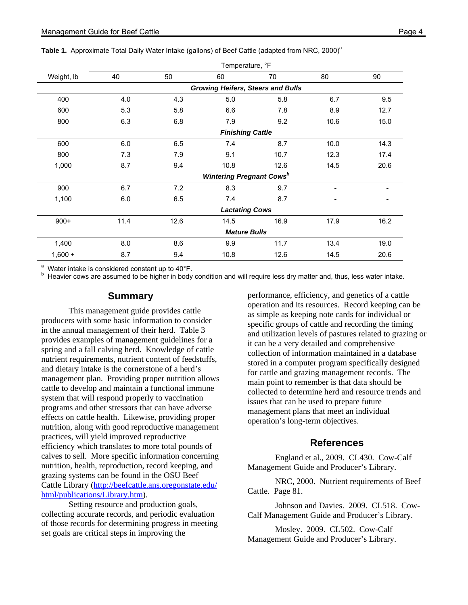|  | Table 1. Approximate Total Daily Water Intake (gallons) of Beef Cattle (adapted from NRC, 2000) <sup>a</sup> |  |  |  |  |  |  |  |  |  |
|--|--------------------------------------------------------------------------------------------------------------|--|--|--|--|--|--|--|--|--|
|--|--------------------------------------------------------------------------------------------------------------|--|--|--|--|--|--|--|--|--|

|            | Temperature, °F                          |                                             |      |      |      |      |  |  |
|------------|------------------------------------------|---------------------------------------------|------|------|------|------|--|--|
| Weight, Ib | 40                                       | 50                                          | 60   | 70   | 80   | 90   |  |  |
|            | <b>Growing Heifers, Steers and Bulls</b> |                                             |      |      |      |      |  |  |
| 400        | 4.0                                      | 4.3                                         | 5.0  | 5.8  | 6.7  | 9.5  |  |  |
| 600        | 5.3                                      | 5.8                                         | 6.6  | 7.8  | 8.9  | 12.7 |  |  |
| 800        | 6.3                                      | 6.8                                         | 7.9  | 9.2  | 10.6 | 15.0 |  |  |
|            |                                          | <b>Finishing Cattle</b>                     |      |      |      |      |  |  |
| 600        | 6.0                                      | 6.5                                         | 7.4  | 8.7  | 10.0 | 14.3 |  |  |
| 800        | 7.3                                      | 7.9                                         | 9.1  | 10.7 | 12.3 | 17.4 |  |  |
| 1,000      | 8.7                                      | 9.4                                         | 10.8 | 12.6 | 14.5 | 20.6 |  |  |
|            |                                          | <b>Wintering Pregnant Cows</b> <sup>b</sup> |      |      |      |      |  |  |
| 900        | 6.7                                      | 7.2                                         | 8.3  | 9.7  |      |      |  |  |
| 1,100      | 6.0                                      | 6.5                                         | 7.4  | 8.7  |      |      |  |  |
|            | <b>Lactating Cows</b>                    |                                             |      |      |      |      |  |  |
| $900+$     | 11.4                                     | 12.6                                        | 14.5 | 16.9 | 17.9 | 16.2 |  |  |
|            | <b>Mature Bulls</b>                      |                                             |      |      |      |      |  |  |
| 1,400      | 8.0                                      | 8.6                                         | 9.9  | 11.7 | 13.4 | 19.0 |  |  |
| $1,600 +$  | 8.7                                      | 9.4                                         | 10.8 | 12.6 | 14.5 | 20.6 |  |  |

<sup>a</sup> Water intake is considered constant up to 40°F.

b Heavier cows are assumed to be higher in body condition and will require less dry matter and, thus, less water intake.

#### **Summary**

This management guide provides cattle producers with some basic information to consider in the annual management of their herd. Table 3 provides examples of management guidelines for a spring and a fall calving herd. Knowledge of cattle nutrient requirements, nutrient content of feedstuffs, and dietary intake is the cornerstone of a herd's management plan. Providing proper nutrition allows cattle to develop and maintain a functional immune system that will respond properly to vaccination programs and other stressors that can have adverse effects on cattle health. Likewise, providing proper nutrition, along with good reproductive management practices, will yield improved reproductive efficiency which translates to more total pounds of calves to sell. More specific information concerning nutrition, health, reproduction, record keeping, and grazing systems can be found in the OSU Beef Cattle Library (http://beefcattle.ans.oregonstate.edu/ html/publications/Library.htm).

 Setting resource and production goals, collecting accurate records, and periodic evaluation of those records for determining progress in meeting set goals are critical steps in improving the

performance, efficiency, and genetics of a cattle operation and its resources. Record keeping can be as simple as keeping note cards for individual or specific groups of cattle and recording the timing and utilization levels of pastures related to grazing or it can be a very detailed and comprehensive collection of information maintained in a database stored in a computer program specifically designed for cattle and grazing management records. The main point to remember is that data should be collected to determine herd and resource trends and issues that can be used to prepare future management plans that meet an individual operation's long-term objectives.

#### **References**

England et al., 2009. CL430. Cow-Calf Management Guide and Producer's Library.

NRC, 2000. Nutrient requirements of Beef Cattle. Page 81.

Johnson and Davies. 2009. CL518. Cow-Calf Management Guide and Producer's Library.

Mosley. 2009. CL502. Cow-Calf Management Guide and Producer's Library.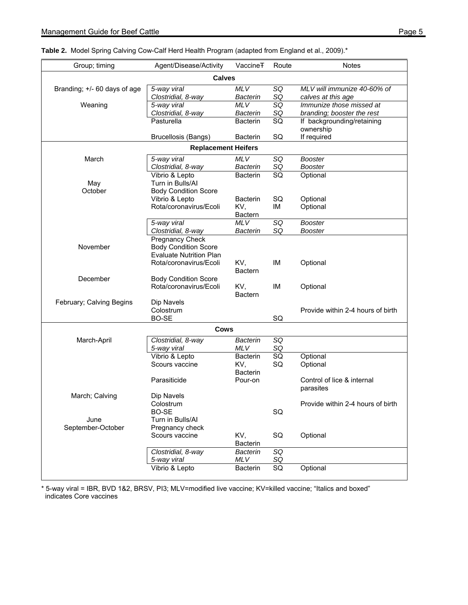| Group; timing                | Agent/Disease/Activity                                   | Vaccine <sub>T</sub>   | Route           | Notes                             |  |  |  |  |
|------------------------------|----------------------------------------------------------|------------------------|-----------------|-----------------------------------|--|--|--|--|
| <b>Calves</b>                |                                                          |                        |                 |                                   |  |  |  |  |
| Branding; +/- 60 days of age | 5-way viral                                              | <b>MLV</b>             | SQ              | MLV will immunize 40-60% of       |  |  |  |  |
|                              | Clostridial, 8-way                                       | <b>Bacterin</b>        | SQ              | calves at this age                |  |  |  |  |
| Weaning                      | 5-way viral                                              | <b>MLV</b>             | SQ              | Immunize those missed at          |  |  |  |  |
|                              | Clostridial, 8-way                                       | <b>Bacterin</b>        | SQ              | branding; booster the rest        |  |  |  |  |
|                              | Pasturella                                               | <b>Bacterin</b>        | $\overline{SQ}$ | If backgrounding/retaining        |  |  |  |  |
|                              |                                                          |                        |                 | ownership                         |  |  |  |  |
|                              | <b>Brucellosis (Bangs)</b>                               | <b>Bacterin</b>        | SQ              | If required                       |  |  |  |  |
| <b>Replacement Heifers</b>   |                                                          |                        |                 |                                   |  |  |  |  |
| March                        | 5-way viral                                              | <b>MLV</b>             | SQ              | <b>Booster</b>                    |  |  |  |  |
|                              | Clostridial, 8-way                                       | <b>Bacterin</b>        | SQ              | <b>Booster</b>                    |  |  |  |  |
|                              | Vibrio & Lepto                                           | <b>Bacterin</b>        | SQ              | Optional                          |  |  |  |  |
| May                          | Turn in Bulls/Al                                         |                        |                 |                                   |  |  |  |  |
| October                      | <b>Body Condition Score</b>                              |                        |                 |                                   |  |  |  |  |
|                              | Vibrio & Lepto                                           | <b>Bacterin</b>        | SQ              | Optional                          |  |  |  |  |
|                              | Rota/coronavirus/Ecoli                                   | KV,                    | ΙM              | Optional                          |  |  |  |  |
|                              |                                                          | Bactern                |                 |                                   |  |  |  |  |
|                              | 5-way viral                                              | <b>MLV</b>             | SQ              | <b>Booster</b>                    |  |  |  |  |
|                              | Clostridial, 8-way                                       | Bacterin               | SQ              | <b>Booster</b>                    |  |  |  |  |
|                              | Pregnancy Check                                          |                        |                 |                                   |  |  |  |  |
| November                     | <b>Body Condition Score</b>                              |                        |                 |                                   |  |  |  |  |
|                              | <b>Evaluate Nutrition Plan</b><br>Rota/coronavirus/Ecoli | KV,                    | IM              |                                   |  |  |  |  |
|                              |                                                          | Bactern                |                 | Optional                          |  |  |  |  |
| December                     | <b>Body Condition Score</b>                              |                        |                 |                                   |  |  |  |  |
|                              | Rota/coronavirus/Ecoli                                   | KV,                    | IM              | Optional                          |  |  |  |  |
|                              |                                                          | <b>Bactern</b>         |                 |                                   |  |  |  |  |
| February; Calving Begins     | Dip Navels                                               |                        |                 |                                   |  |  |  |  |
|                              | Colostrum                                                |                        |                 | Provide within 2-4 hours of birth |  |  |  |  |
|                              | BO-SE                                                    |                        | SQ              |                                   |  |  |  |  |
|                              | <b>Cows</b>                                              |                        |                 |                                   |  |  |  |  |
| March-April                  | Clostridial, 8-way                                       | Bacterin               | SQ              |                                   |  |  |  |  |
|                              | 5-way viral                                              | <b>MLV</b>             | SQ              |                                   |  |  |  |  |
|                              | Vibrio & Lepto                                           | <b>Bacterin</b>        | SQ              | Optional                          |  |  |  |  |
|                              | Scours vaccine                                           | KV,                    | SQ              | Optional                          |  |  |  |  |
|                              |                                                          | <b>Bacterin</b>        |                 |                                   |  |  |  |  |
|                              | Parasiticide                                             | Pour-on                |                 | Control of lice & internal        |  |  |  |  |
|                              |                                                          |                        |                 | parasites                         |  |  |  |  |
| March; Calving               | Dip Navels                                               |                        |                 |                                   |  |  |  |  |
|                              | Colostrum                                                |                        |                 | Provide within 2-4 hours of birth |  |  |  |  |
|                              | BO-SE                                                    |                        | SQ              |                                   |  |  |  |  |
| June                         | Turn in Bulls/Al                                         |                        |                 |                                   |  |  |  |  |
| September-October            | Pregnancy check                                          |                        |                 |                                   |  |  |  |  |
|                              | Scours vaccine                                           | KV,<br><b>Bacterin</b> | SQ              | Optional                          |  |  |  |  |
|                              | Clostridial, 8-way                                       | <b>Bacterin</b>        | SQ              |                                   |  |  |  |  |
|                              | 5-way viral                                              | <b>MLV</b>             | SQ              |                                   |  |  |  |  |
|                              | Vibrio & Lepto                                           | <b>Bacterin</b>        | SQ              | Optional                          |  |  |  |  |
|                              |                                                          |                        |                 |                                   |  |  |  |  |

\* 5-way viral = IBR, BVD 1&2, BRSV, PI3; MLV=modified live vaccine; KV=killed vaccine; "Italics and boxed" indicates Core vaccines